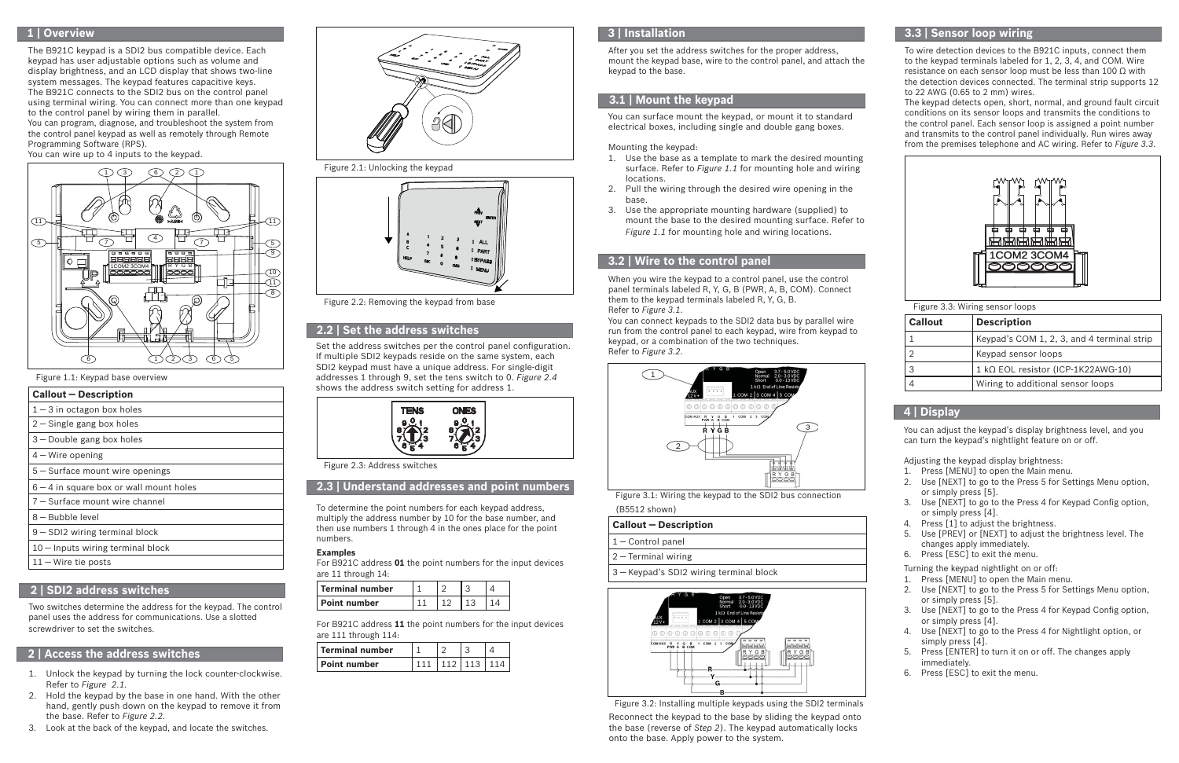

Turning the keypad nightlight on or off:

- 1. Press [MENU] to open the Main menu.
- 2. Use [NEXT] to go to the Press 5 for Settings Menu option, or simply press [5].
- 3. Use [NEXT] to go to the Press 4 for Keypad Config option, or simply press [4].
- 4. Use [NEXT] to go to the Press 4 for Nightlight option, or simply press [4].
- 5. Press [ENTER] to turn it on or off. The changes apply immediately.
- 6. Press [ESC] to exit the menu.

You can adjust the keypad's display brightness level, and you can turn the keypad's nightlight feature on or off.

Adjusting the keypad display brightness:

- 1. Press [MENU] to open the Main menu.
- 2. Use [NEXT] to go to the Press 5 for Settings Menu option, or simply press [5].
- 3. Use [NEXT] to go to the Press 4 for Keypad Config option, or simply press [4].
- 4. Press [1] to adjust the brightness.
- 5. Use [PREV] or [NEXT] to adjust the brightness level. The changes apply immediately.
- 6. Press [ESC] to exit the menu.

# **4 | Display**

To wire detection devices to the B921C inputs, connect them to the keypad terminals labeled for 1, 2, 3, 4, and COM. Wire resistance on each sensor loop must be less than 100 Ω with the detection devices connected. The terminal strip supports 12 to 22 AWG (0.65 to 2 mm) wires.

The keypad detects open, short, normal, and ground fault circuit conditions on its sensor loops and transmits the conditions to the control panel. Each sensor loop is assigned a point number and transmits to the control panel individually. Run wires away from the premises telephone and AC wiring. Refer to *Figure 3.3*.

| <b>Callout</b> | <b>Description</b>                         |
|----------------|--------------------------------------------|
|                | Keypad's COM 1, 2, 3, and 4 terminal strip |
|                | Keypad sensor loops                        |
|                | 1 kΩ EOL resistor (ICP-1K22AWG-10)         |
|                | Wiring to additional sensor loops          |

Figure 3.3: Wiring sensor loops



After you set the address switches for the proper address, mount the keypad base, wire to the control panel, and attach the keypad to the base.

Set the address switches per the control panel configuration. If multiple SDI2 keypads reside on the same system, each SDI2 keypad must have a unique address. For single-digit addresses 1 through 9, set the tens switch to 0. *Figure 2.4* shows the address switch setting for address 1.



### **3.1 | Mount the keypad**

### **3.2 | Wire to the control panel**

You can surface mount the keypad, or mount it to standard electrical boxes, including single and double gang boxes.

Mounting the keypad:

- 1. Use the base as a template to mark the desired mounting surface. Refer to *Figure 1.1* for mounting hole and wiring locations.
- 2. Pull the wiring through the desired wire opening in the base.
- 3. Use the appropriate mounting hardware (supplied) to mount the base to the desired mounting surface. Refer to *Figure 1.1* for mounting hole and wiring locations.

When you wire the keypad to a control panel, use the control panel terminals labeled R, Y, G, B (PWR, A, B, COM). Connect them to the keypad terminals labeled R, Y, G, B. Refer to *Figure 3.1*.

You can connect keypads to the SDI2 data bus by parallel wire run from the control panel to each keypad, wire from keypad to keypad, or a combination of the two techniques. Refer to *Figure 3.2*.



| <b>Callout - Description</b> |
|------------------------------|
|------------------------------|

1 ― Control panel

2 ― Terminal wiring

3 ― Keypad's SDI2 wiring terminal block



Figure 3.2: Installing multiple keypads using the SDI2 terminals

Reconnect the keypad to the base by sliding the keypad onto the base (reverse of *Step 2*). The keypad automatically locks onto the base. Apply power to the system.

Figure 3.1: Wiring the keypad to the SDI2 bus connection (B5512 shown)

## **2 | SDI2 address switches**

Two switches determine the address for the keypad. The control panel uses the address for communications. Use a slotted screwdriver to set the switches.

#### Figure 2.1: Unlocking the keypad



Figure 2.2: Removing the keypad from base

# **2.2 | Set the address switches**

- 1. Unlock the keypad by turning the lock counter-clockwise. Refer to *Figure 2.1.*
- 2. Hold the keypad by the base in one hand. With the other hand, gently push down on the keypad to remove it from the base. Refer to *Figure 2.2.*
- 3. Look at the back of the keypad, and locate the switches.

Figure 2.3: Address switches

#### **2 | Access the address switches**

# **2.3 | Understand addresses and point numbers**

#### **Examples**

For B921C address **01** the point numbers for the input devices are 11 through 14:

| <b>Terminal number</b> |  |  |
|------------------------|--|--|
| oint number            |  |  |

For B921C address **11** the point numbers for the input devices are 111 through 114:

|                     | <b>Terminal number</b> |  |  |
|---------------------|------------------------|--|--|
| <b>Point number</b> |                        |  |  |

To determine the point numbers for each keypad address, multiply the address number by 10 for the base number, and then use numbers 1 through 4 in the ones place for the point numbers.

The B921C keypad is a SDI2 bus compatible device. Each keypad has user adjustable options such as volume and display brightness, and an LCD display that shows two-line system messages. The keypad features capacitive keys. The B921C connects to the SDI2 bus on the control panel using terminal wiring. You can connect more than one keypad to the control panel by wiring them in parallel. You can program, diagnose, and troubleshoot the system from the control panel keypad as well as remotely through Remote Programming Software (RPS).

You can wire up to 4 inputs to the keypad.

| <b>Callout - Description</b>              |
|-------------------------------------------|
| $1-3$ in octagon box holes                |
| $2$ – Single gang box holes               |
| 3 - Double gang box holes                 |
| $4 -$ Wire opening                        |
| $5 -$ Surface mount wire openings         |
| $6 - 4$ in square box or wall mount holes |
| 7 – Surface mount wire channel            |
| 8 – Bubble level                          |
| $9 - SD12$ wiring terminal block          |
| 10 - Inputs wiring terminal block         |
| $11 -$ Wire tie posts                     |
|                                           |



Figure 1.1: Keypad base overview